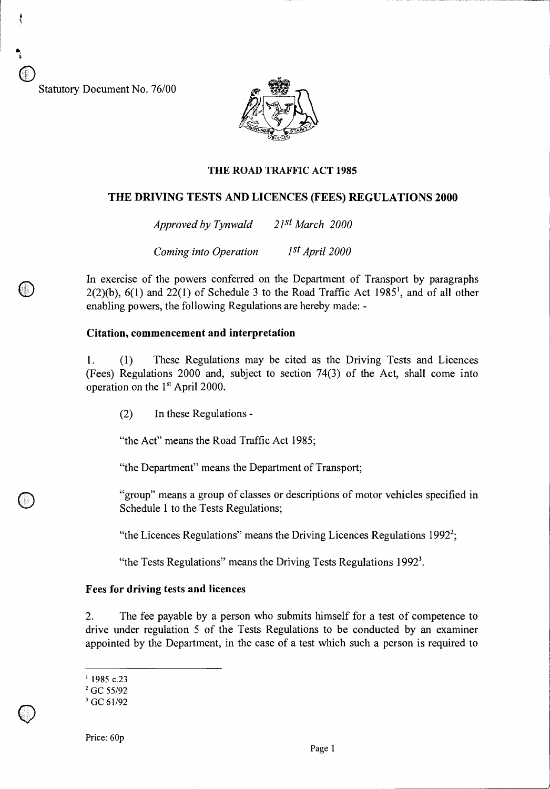Statutory Document No. 76/00



#### THE ROAD TRAFFIC ACT 1985

### **THE DRIVING TESTS AND LICENCES (FEES) REGULATIONS 2000**

*Approved by Tynwald 21st March 2000* 

*Coming into Operation 1st April 2000* 

In exercise of the powers conferred on the Department of Transport by paragraphs  $2(2)(b)$ ,  $6(1)$  and  $22(1)$  of Schedule 3 to the Road Traffic Act 1985<sup>1</sup>, and of all other enabling powers, the following Regulations are hereby made: -

#### **Citation, commencement and interpretation**

1. (1) These Regulations may be cited as the Driving Tests and Licences (Fees) Regulations 2000 and, subject to section 74(3) of the Act, shall come into operation on the 1<sup>st</sup> April 2000.

(2) In these Regulations -

"the Act" means the Road Traffic Act 1985;

"the Department" means the Department of Transport;

"group" means a group of classes or descriptions of motor vehicles specified in Schedule 1 to the Tests Regulations;

"the Licences Regulations" means the Driving Licences Regulations  $1992^2$ ;

"the Tests Regulations" means the Driving Tests Regulations  $1992<sup>3</sup>$ .

## **Fees for driving tests and licences**

2. The fee payable by a person who submits himself for a test of competence to drive under regulation 5 of the Tests Regulations to be conducted by an examiner appointed by the Department, in the case of a test which such a person is required to

 $1985$  c.23

<sup>&</sup>lt;sup>2</sup> GC 55/92

<sup>&</sup>lt;sup>3</sup> GC 61/92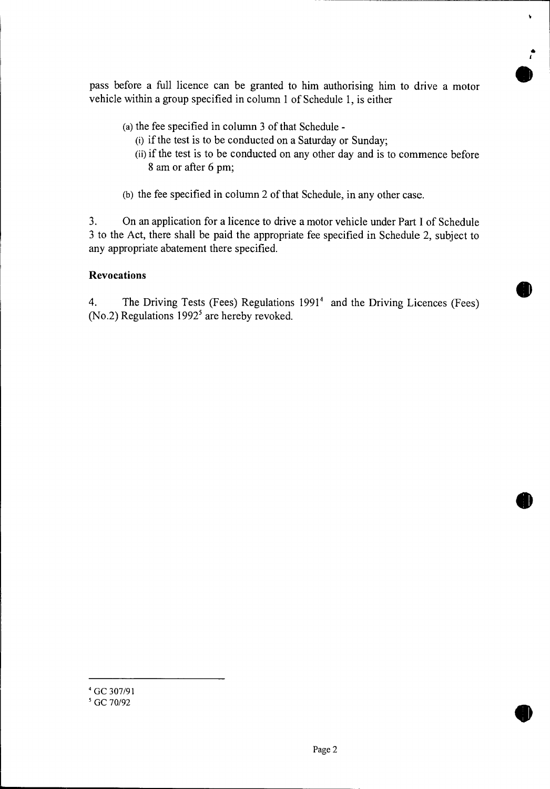pass before a full licence can be granted to him authorising him to drive a motor vehicle within a group specified in column 1 of Schedule 1, is either

- (a) the fee specified in column 3 of that Schedule
	- (i) if the test is to be conducted on a Saturday or Sunday;
	- (ii)if the test is to be conducted on any other day and is to commence before 8 am or after 6 pm;

b

• I

**•** 

**e** 

(b) the fee specified in column 2 of that Schedule, in any other case.

3. On an application for a licence to drive a motor vehicle under Part I of Schedule 3 to the Act, there shall be paid the appropriate fee specified in Schedule 2, subject to any appropriate abatement there specified.

# **Revocations**

4. The Driving Tests (Fees) Regulations 1991<sup>4</sup> and the Driving Licences (Fees) (No.2) Regulations  $1992<sup>5</sup>$  are hereby revoked.

<sup>4</sup>GC 307/91

<sup>&</sup>lt;sup>5</sup> GC 70/92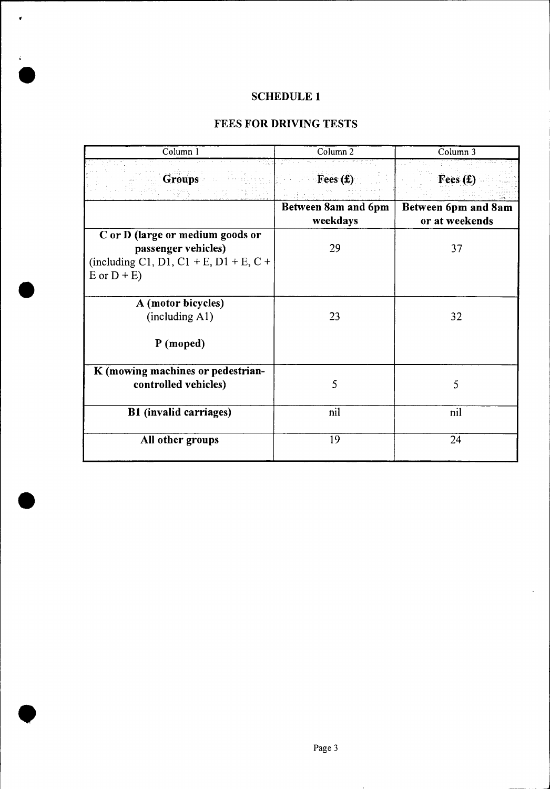# **SCHEDULE 1**

 $\bullet$ 

 $\mathcal{L}^{(1)}$  .

# **FEES FOR DRIVING TESTS**

| Column 1                                                                                                              | Column 2                          | Column 3                          |
|-----------------------------------------------------------------------------------------------------------------------|-----------------------------------|-----------------------------------|
| <b>Groups</b>                                                                                                         | Fees $(f)$<br>Between 8am and 6pm | Fees $(E)$<br>Between 6pm and 8am |
|                                                                                                                       | weekdays                          | or at weekends                    |
| C or D (large or medium goods or<br>passenger vehicles)<br>(including C1, D1, C1 + E, D1 + E, C +<br>$E$ or $D + E$ ) | 29                                | 37                                |
|                                                                                                                       |                                   |                                   |
| A (motor bicycles)<br>(including A1)                                                                                  | 23                                | 32                                |
| P (moped)                                                                                                             |                                   |                                   |
| K (mowing machines or pedestrian-<br>controlled vehicles)                                                             | 5                                 | 5                                 |
| <b>B1</b> (invalid carriages)                                                                                         | nil                               | nil                               |
| All other groups                                                                                                      | 19                                | 24                                |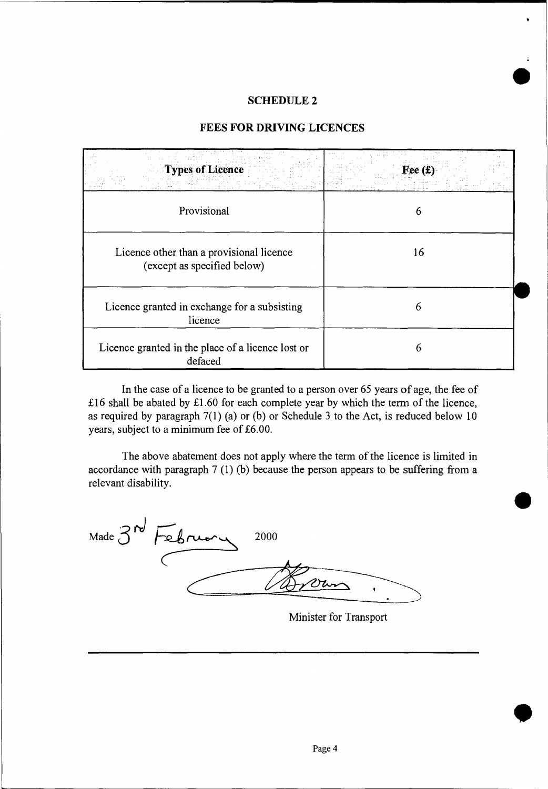### **SCHEDULE 2**

## **FEES FOR DRIVING LICENCES**

| <b>Types of Licence</b>                                                 |    |
|-------------------------------------------------------------------------|----|
| Provisional                                                             | 6  |
| Licence other than a provisional licence<br>(except as specified below) | 16 |
| Licence granted in exchange for a subsisting<br>licence                 | 6  |
| Licence granted in the place of a licence lost or<br>defaced            | 6  |

In the case of a licence to be granted to a person over 65 years of age, the fee of £16 shall be abated by £1.60 for each complete year by which the term of the licence, as required by paragraph 7(1) (a) or (b) or Schedule 3 to the Act, is reduced below 10 years, subject to a minimum fee of £6.00.

The above abatement does not apply where the term of the licence is limited in accordance with paragraph 7 (1) (b) because the person appears to be suffering from a relevant disability.

Made 3<sup>nd</sup> February 2 2000 2ru

Minister for Transport

**•**